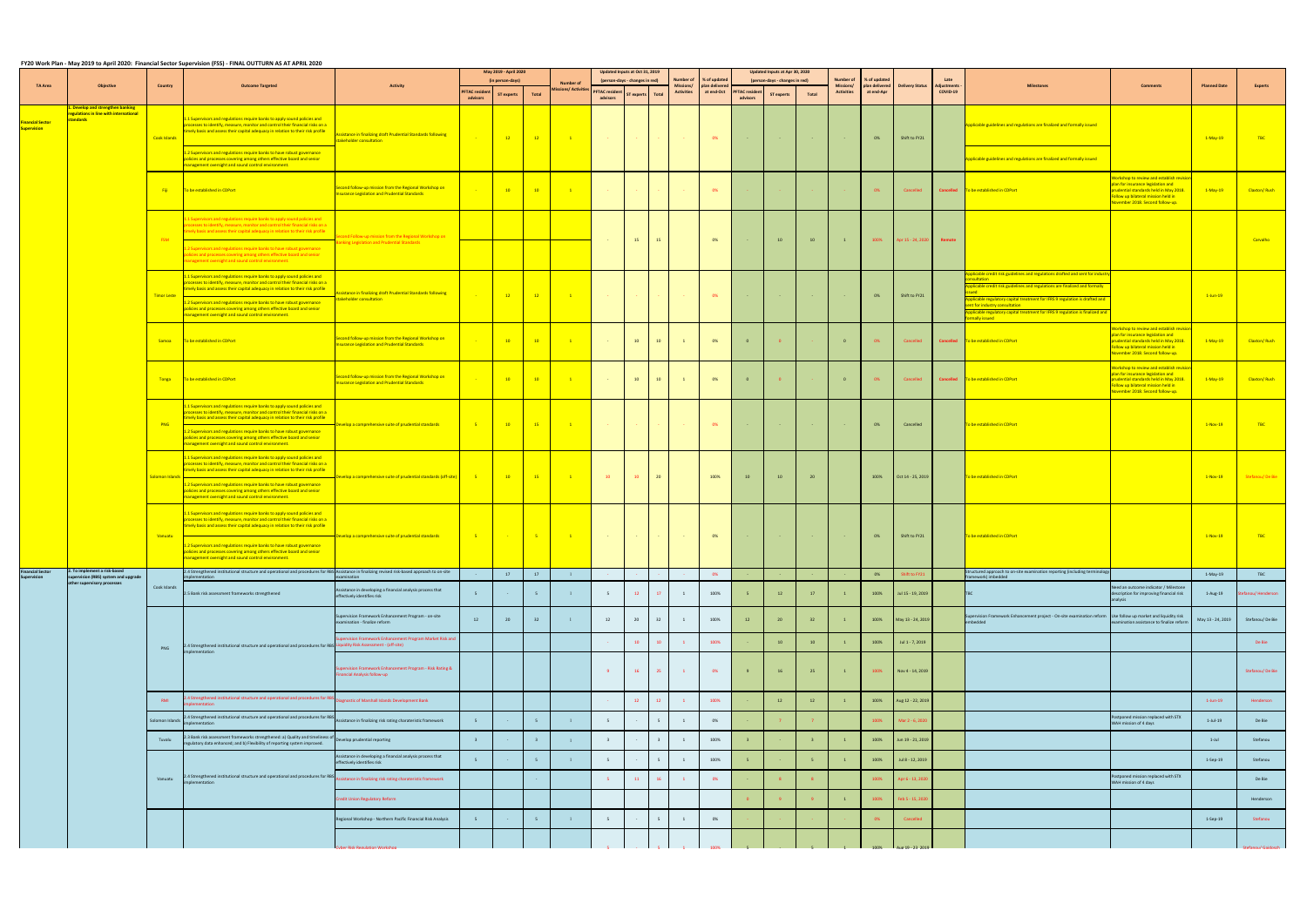|                                               |                                                                                                  |                    | FY20 Work Plan - May 2019 to April 2020: Financial Sector Supervision (FSS) - FINAL OUTTURN AS AT APRIL 2020                                                                                                                                                                                                                                                                                                                                                 |                                                                                                               |                                   | May 2019 - April 2020<br>(in person-days) |                         |                                               |                                   | Updated Inputs at Oct 31, 2019<br>(person-days - changes in red) |                 | Number of<br>% of updated      |                             |                                   | Updated Inputs at Apr 30, 2020<br>(person-days - changes in red) |       | <b>Number of</b>               | % of updated                |                        | Late                           |                                                                                                                                                                                                                                                                                                                                                                                              |                                                                                                                                                                                              |                     |                     |
|-----------------------------------------------|--------------------------------------------------------------------------------------------------|--------------------|--------------------------------------------------------------------------------------------------------------------------------------------------------------------------------------------------------------------------------------------------------------------------------------------------------------------------------------------------------------------------------------------------------------------------------------------------------------|---------------------------------------------------------------------------------------------------------------|-----------------------------------|-------------------------------------------|-------------------------|-----------------------------------------------|-----------------------------------|------------------------------------------------------------------|-----------------|--------------------------------|-----------------------------|-----------------------------------|------------------------------------------------------------------|-------|--------------------------------|-----------------------------|------------------------|--------------------------------|----------------------------------------------------------------------------------------------------------------------------------------------------------------------------------------------------------------------------------------------------------------------------------------------------------------------------------------------------------------------------------------------|----------------------------------------------------------------------------------------------------------------------------------------------------------------------------------------------|---------------------|---------------------|
| TA Area                                       | <b>Objective</b>                                                                                 | Country            | <b>Outcome Targeted</b>                                                                                                                                                                                                                                                                                                                                                                                                                                      | <b>Activity</b>                                                                                               | <b>PFTAC</b> resident<br>advisors | <b>ST experts</b>                         | Total                   | <b>Number of</b><br><b>Aissions/Activitie</b> | <b>PFTAC resident</b><br>advisors | ST experts Total                                                 |                 | Missions/<br><b>Activities</b> | plan delivere<br>at end-Oct | <b>PFTAC</b> resident<br>advisors | <b>ST experts</b>                                                | Total | Missions/<br><b>Activities</b> | plan delivere<br>at end-Apr | <b>Delivery Status</b> | <b>Adjustments</b><br>COVID-19 | <b>Milestones</b>                                                                                                                                                                                                                                                                                                                                                                            | <b>Comments</b>                                                                                                                                                                              | <b>Planned Date</b> | <b>Experts</b>      |
| <b>Financial Sector</b><br><b>Supervision</b> | Develop and strengthen banking<br>egulations in line with international<br><mark>tandards</mark> | Cook Islands       | .1 Supervisors and regulations require banks to apply sound policies and<br>processes to identify, measure, monitor and control their financial risks on a<br>timely basis and assess their capital adequacy in relation to their risk profile<br>1.2 Supervisors and regulations require banks to have robust governance                                                                                                                                    | Assistance in finalizing draft Prudential Standards following<br>takeholder consultation                      |                                   | $\sim$ 12                                 | $-12$                   | $\sim 1$                                      |                                   |                                                                  |                 |                                | 0%                          |                                   |                                                                  |       |                                | 0%                          | Shift to FY21          |                                | Applicable guidelines and regulations are finalized and formally issued                                                                                                                                                                                                                                                                                                                      |                                                                                                                                                                                              | $1-May-19$          | TBC                 |
|                                               |                                                                                                  | <b>Fiji</b>        | policies and processes covering among others effective board and senior<br>nanagement oversight and sound control environment.<br>To be established in CDPort                                                                                                                                                                                                                                                                                                | Second follow-up mission from the Regional Workshop on<br>nsurance Legislation and Prudential Standards       |                                   | $-10$                                     | $-10$                   | $\blacksquare$                                |                                   |                                                                  |                 |                                | 0%                          |                                   |                                                                  |       |                                | 0%                          | Cancelled              |                                | Applicable guidelines and regulations are finalized and formally issued<br>Cancelled To be established in CDPort                                                                                                                                                                                                                                                                             | orkshop to review and establish revi<br><b>Dan for insurance legislation and</b><br>rudential standards held in May 2018.<br>ollow up bilateral mission held in                              | $1-May-19$          | Claxton/Rush        |
|                                               |                                                                                                  | <b>FSM</b>         | I Supervisors and regulations require banks to apply sound policies and<br>cesses to identify, measure, monitor and control their financial risks on a<br>nely basis and assess their capital adequacy in relation to their risk profile<br>2 Supervisors and regulations require banks to have robust governance<br>blicies and processes covering among others effective board and senior<br>anagement oversight and sound control environment.            | ond Follow-up mission from the Regional Workshop on<br>Banking Legislation and Prudential Standards           |                                   |                                           |                         |                                               |                                   | 15                                                               | <b>15</b>       |                                | 0%                          |                                   | 10                                                               | 10    | $\mathbf{1}$                   | 100%                        | Apr 15 - 24, 2020      | Remote                         |                                                                                                                                                                                                                                                                                                                                                                                              | ovember 2018. Second follow-up.                                                                                                                                                              |                     | Carvalho            |
|                                               |                                                                                                  | <b>Timor Leste</b> | 1.1 Supervisors and regulations require banks to apply sound policies and<br>processes to identify, measure, monitor and control their financial risks on a<br>imely basis and assess their capital adequacy in relation to their risk profile<br>1.2 Supervisors and regulations require banks to have robust governance<br>policies and processes covering among others effective board and senior<br>nanagement oversight and sound control environment.  | ssistance in finalizing draft Prudential Standards following<br>akeholder consultation                        |                                   | $\frac{12}{2}$                            | $\frac{1}{2}$           | $\sim$ 1                                      |                                   |                                                                  |                 |                                | 0%                          |                                   |                                                                  |       |                                | 0%                          | Shift to FY21          |                                | plicable credit risk guidelines and regulations drafted and sent for indus<br><b>Scultation</b><br>plicable credit risk guidelines and regulations are finalized and formally<br>pplicable regulatory capital treatment for IFRS 9 regulation is drafted and<br>nt for industry consultation<br>plicable regulatory capital treatment for IFRS 9 regulation is finalized and<br>hally issued |                                                                                                                                                                                              | $1$ -Jun-19         |                     |
|                                               |                                                                                                  | Samoa              | To be established in CDPort                                                                                                                                                                                                                                                                                                                                                                                                                                  | <b>Second follow-up mission from the Regional Workshop on</b><br>surance Legislation and Prudential Standards |                                   | $-10$                                     | $\frac{10}{2}$          | $\sim 1$                                      | <b>Contract</b>                   | 10                                                               | 10              | $\mathbf{1}$                   | 0%                          | $\overline{\mathbf{0}}$           |                                                                  |       | $\overline{0}$                 | 0%                          | Cancelled              |                                | Cancelled To be established in CDPort                                                                                                                                                                                                                                                                                                                                                        | orkshop to review and establish revi<br>blan for insurance legislation and<br>rudential standards held in May 2018<br>ollow up bilateral mission held in<br>ovember 2018. Second follow-up.  | $1-May-19$          | <b>Claxton/Rush</b> |
|                                               |                                                                                                  | Tonga              | To be established in CDPort                                                                                                                                                                                                                                                                                                                                                                                                                                  | econd follow-up mission from the Regional Workshop on<br>surance Legislation and Prudential Standards         |                                   | 10                                        | $\frac{10}{2}$          | $\blacksquare$                                |                                   | 10                                                               | 10              | $\mathbf{1}$                   | 0%                          | $\overline{\mathbf{0}}$           |                                                                  |       | $\overline{\mathbf{0}}$        | 0%                          | Cancelled              |                                | Cancelled To be established in CDPort                                                                                                                                                                                                                                                                                                                                                        | orkshop to review and establish revi<br>an for insurance legislation and<br>rudential standards held in May 2018.<br>Follow up bilateral mission held in<br>Vovember 2018. Second follow-up. | $1-May-19$          | Claxton/Rush        |
|                                               |                                                                                                  | PNG                | 1 Supervisors and regulations require banks to apply sound policies and<br>processes to identify, measure, monitor and control their financial risks on a<br>timely basis and assess their capital adequacy in relation to their risk profile<br>1.2 Supervisors and regulations require banks to have robust governance<br>policies and processes covering among others effective board and senior<br>management oversight and sound control environment.   | velop a comprehensive suite of prudential standards                                                           | $-5$                              | $\frac{10}{2}$                            | $\frac{15}{2}$          | $\blacksquare$                                |                                   |                                                                  |                 |                                | 0%                          |                                   |                                                                  |       |                                | 0%                          | Cancelled              |                                | To be established in CDPort                                                                                                                                                                                                                                                                                                                                                                  |                                                                                                                                                                                              | $1-Nov-19$          | TBC                 |
|                                               |                                                                                                  | olomon Islands     | 1.1 Supervisors and regulations require banks to apply sound policies and<br>processes to identify, measure, monitor and control their financial risks on a<br>timely basis and assess their capital adequacy in relation to their risk profile<br>1.2 Supervisors and regulations require banks to have robust governance<br>policies and processes covering among others effective board and senior<br>management oversight and sound control environment. | velop a comprehensive suite of prudential standards (off-site) <b>6</b> 5                                     |                                   | $\frac{10}{2}$                            | $\frac{1}{2}$ 15        | $\blacksquare$                                | $10-10$                           | 10                                                               | 20              |                                | 100%                        | 10                                | 10                                                               | 20    |                                | 100%                        | Oct 14 - 25, 2019      |                                | To be established in CDPort                                                                                                                                                                                                                                                                                                                                                                  |                                                                                                                                                                                              | $1-Nov-19$          | Stefanou/De Bie     |
|                                               |                                                                                                  | Vanuatu            | 1.1 Supervisors and regulations require banks to apply sound policies and<br>processes to identify, measure, monitor and control their financial risks on a<br>timely basis and assess their capital adequacy in relation to their risk profile<br>1.2 Supervisors and regulations require banks to have robust governance<br>licies and processes covering among others effective board and senior<br>management oversight and sound control environment.   | Develop a comprehensive suite of prudential standards                                                         | $-5$                              | <b>Contract</b>                           | $\sim$ 5 $-$            | $\sim$ 1                                      | <b>Contract</b>                   | <b>Contract</b>                                                  |                 |                                | 0%                          |                                   |                                                                  |       |                                | 0%                          | Shift to FY21          |                                | To be established in CDPort                                                                                                                                                                                                                                                                                                                                                                  |                                                                                                                                                                                              | $1-Nov-19$          | <b>TBC</b>          |
| inancial Sector<br><b>Supervision</b>         | To implement a risk-based<br>ervision (RBS) system and upgrade                                   |                    | 2.4 Strengthened institutional structure and operational and procedures for RBS                                                                                                                                                                                                                                                                                                                                                                              | sistance in finalizing revised risk-based approach to on-site                                                 |                                   | 17                                        | 17                      | $\overline{1}$                                |                                   |                                                                  |                 |                                | 0%                          |                                   |                                                                  |       |                                | 0%                          |                        |                                | ructured approach to on-site examination reporting (including terminol<br>mework) imbedded                                                                                                                                                                                                                                                                                                   |                                                                                                                                                                                              | 1-May-19            | TBC                 |
|                                               | other supervisory processes                                                                      | Cook Islands       | .5 Bank risk assessment frameworks strengthened                                                                                                                                                                                                                                                                                                                                                                                                              | ssistance in developing a financial analysis process that<br>effectively identifies risk                      |                                   |                                           | -5                      | $\overline{1}$                                | 5 <sup>1</sup>                    | 12                                                               | 17              | <sup>1</sup>                   | 100%                        |                                   | 12                                                               | 17    |                                | 100%                        | Jul 15 - 19, 2019      |                                |                                                                                                                                                                                                                                                                                                                                                                                              | Veed an outcome indicator / Milestone<br>escription for improving financial risk                                                                                                             | 1-Aug-19            | anou/Henderson      |
|                                               |                                                                                                  |                    |                                                                                                                                                                                                                                                                                                                                                                                                                                                              | ervision Framework Enhancement Program - on-site<br>mination - finalize reform                                | 12                                | 20                                        | 32                      | $\overline{1}$                                | 12                                | 20                                                               | 32              | 1                              | 100%                        | 12                                | 20                                                               | 32    |                                | 100%                        | May 13 - 24, 2019      |                                | ipervision Framework Enhancement project - On-site examination reform Use follow up market and liquidity risk<br>bedded                                                                                                                                                                                                                                                                      | amination assistance to finalize reforr                                                                                                                                                      | May 13 - 24, 2019   | Stefanou/De Bie     |
|                                               |                                                                                                  | PNG                | 4.4 Strengthened institutional structure and operational and procedures for RBS Liquidity Risk Assessment - (off-site)                                                                                                                                                                                                                                                                                                                                       | rvision Framework Enhancement Program Market Risk and                                                         |                                   |                                           |                         |                                               |                                   | 10                                                               | 10 <sup>1</sup> | $\overline{1}$                 | 100%                        |                                   | 10 <sup>°</sup>                                                  | $10$  |                                | 100%                        | Jul 1 - 7, 2019        |                                |                                                                                                                                                                                                                                                                                                                                                                                              |                                                                                                                                                                                              |                     | De Bie              |
|                                               |                                                                                                  |                    | mentation                                                                                                                                                                                                                                                                                                                                                                                                                                                    | ervision Framework Enhancement Program - Risk Rating &<br>ancial Analysis follow-up                           |                                   |                                           |                         |                                               | $-9$                              | 16                                                               | 25              | $-1$                           | 0%                          |                                   | 16                                                               | 25    | $\mathbf{1}$                   | 100%                        | Nov 4 - 14, 2019       |                                |                                                                                                                                                                                                                                                                                                                                                                                              |                                                                                                                                                                                              |                     | Stefanou/De Bie     |
|                                               |                                                                                                  | RMI                | <b>1 Strengthened institutional structure and operational and procedures for RBS</b>                                                                                                                                                                                                                                                                                                                                                                         | gnostic of Marshall Islands Development Bank                                                                  |                                   |                                           |                         |                                               |                                   | 12                                                               | 12              | $-1$                           | 100%                        |                                   | 12                                                               | 12    |                                | 100%                        | Aug 12 - 22, 2019      |                                |                                                                                                                                                                                                                                                                                                                                                                                              |                                                                                                                                                                                              | $1$ -Jun-19         | Henderson           |
|                                               |                                                                                                  | Solomon Island     | 2.4 Strengthened institutional structure and operational and procedures for RBS                                                                                                                                                                                                                                                                                                                                                                              | istance in finalizing risk rating charateristic framework                                                     |                                   |                                           | 5                       | $\overline{1}$                                | 5                                 |                                                                  |                 | 1                              | 0%                          |                                   |                                                                  |       |                                | 100%                        | Mar 2 - 6, 2020        |                                |                                                                                                                                                                                                                                                                                                                                                                                              | stponed mission replaced with STX<br>VAH mission of 4 days                                                                                                                                   | $1-Jul-19$          | De Bie              |
|                                               |                                                                                                  | Tuvalu             | .3 Bank risk assessment frameworks strengthened: a) Quality and timeliness of<br>egulatory data enhanced; and b) Flexibility of reporting system improved.                                                                                                                                                                                                                                                                                                   | Develop prudential reporting                                                                                  | $\overline{\mathbf{3}}$           |                                           | $\overline{\mathbf{3}}$ | $\overline{1}$                                | $\overline{\mathbf{3}}$           |                                                                  | $3 -$           | $\overline{1}$                 | 100%                        |                                   |                                                                  |       |                                | 100%                        | Jun 19 - 21, 2019      |                                |                                                                                                                                                                                                                                                                                                                                                                                              |                                                                                                                                                                                              | $1-Jul$             | Stefanou            |
|                                               |                                                                                                  |                    |                                                                                                                                                                                                                                                                                                                                                                                                                                                              | istance in developing a financial analysis process that<br>effectively identifies risk                        | 5                                 |                                           | 5                       | $\mathbf{1}$                                  | 5                                 |                                                                  |                 | 1                              | 100%                        |                                   |                                                                  |       |                                | 100%                        | Jul 8 - 12, 2019       |                                |                                                                                                                                                                                                                                                                                                                                                                                              |                                                                                                                                                                                              | 1-Sep-19            | Stefanou            |
|                                               |                                                                                                  | Vanuatu            | 4 Strengthened institutional structure and operational and procedures for RBS<br>ementation                                                                                                                                                                                                                                                                                                                                                                  | stance in finalizing risk rating charateristic framework                                                      |                                   |                                           |                         |                                               | 5 <sup>2</sup>                    | 11                                                               | 16 <sup>°</sup> | $\mathbf{1}$                   | 0%                          |                                   |                                                                  |       |                                | 100%                        | Apr 6 - 13, 2020       |                                |                                                                                                                                                                                                                                                                                                                                                                                              | stponed mission replaced with STX<br><b>NAH mission of 4 days</b>                                                                                                                            |                     | De Bie              |
|                                               |                                                                                                  |                    |                                                                                                                                                                                                                                                                                                                                                                                                                                                              | <b>Credit Union Regulatory Reform</b>                                                                         |                                   |                                           |                         |                                               |                                   |                                                                  |                 |                                |                             |                                   |                                                                  |       |                                | 100%                        | Feb 5 - 15, 2020       |                                |                                                                                                                                                                                                                                                                                                                                                                                              |                                                                                                                                                                                              |                     | Henderson           |
|                                               |                                                                                                  |                    |                                                                                                                                                                                                                                                                                                                                                                                                                                                              | Regional Workshop - Northern Pacific Financial Risk Analysis                                                  | -5                                |                                           | 5                       | $\blacksquare$                                | 5                                 |                                                                  |                 | $\mathbf{1}$                   | 0%                          |                                   |                                                                  |       |                                | 0%                          | Cancelled              |                                |                                                                                                                                                                                                                                                                                                                                                                                              |                                                                                                                                                                                              | 1-Sep-19            | Stefanou            |
|                                               |                                                                                                  |                    |                                                                                                                                                                                                                                                                                                                                                                                                                                                              |                                                                                                               |                                   |                                           |                         |                                               |                                   |                                                                  |                 |                                |                             |                                   |                                                                  |       |                                |                             |                        |                                |                                                                                                                                                                                                                                                                                                                                                                                              |                                                                                                                                                                                              |                     |                     |